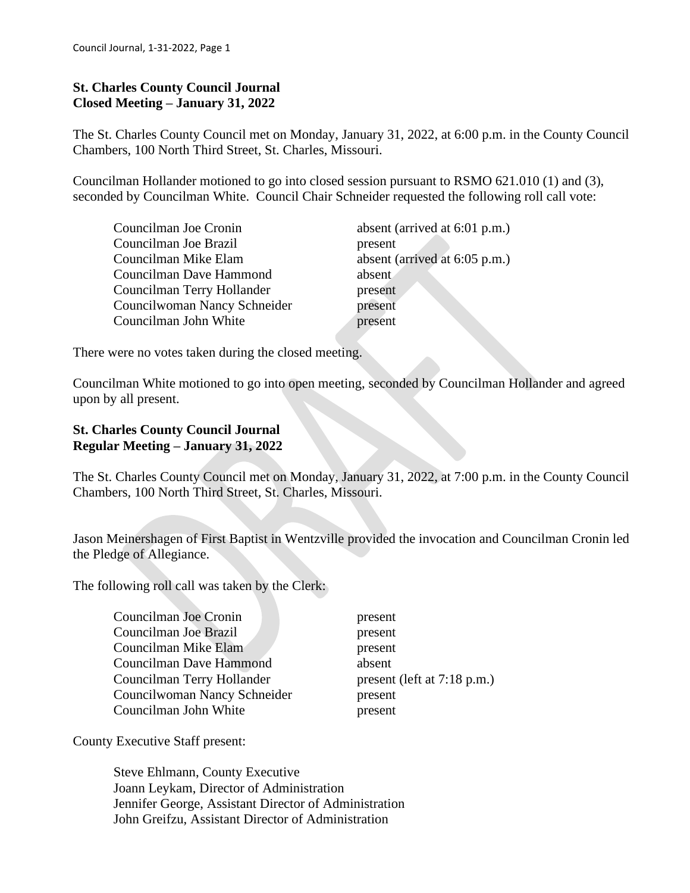### **St. Charles County Council Journal Closed Meeting – January 31, 2022**

The St. Charles County Council met on Monday, January 31, 2022, at 6:00 p.m. in the County Council Chambers, 100 North Third Street, St. Charles, Missouri.

Councilman Hollander motioned to go into closed session pursuant to RSMO 621.010 (1) and (3), seconded by Councilman White. Council Chair Schneider requested the following roll call vote:

| Councilman Joe Cronin        | absent (arrived at 6:01 p.m.) |
|------------------------------|-------------------------------|
| Councilman Joe Brazil        | present                       |
| Councilman Mike Elam         | absent (arrived at 6:05 p.m.) |
| Councilman Dave Hammond      | absent                        |
| Councilman Terry Hollander   | present                       |
| Councilwoman Nancy Schneider | present                       |
| Councilman John White        | present                       |

There were no votes taken during the closed meeting.

Councilman White motioned to go into open meeting, seconded by Councilman Hollander and agreed upon by all present.

### **St. Charles County Council Journal Regular Meeting – January 31, 2022**

The St. Charles County Council met on Monday, January 31, 2022, at 7:00 p.m. in the County Council Chambers, 100 North Third Street, St. Charles, Missouri.

Jason Meinershagen of First Baptist in Wentzville provided the invocation and Councilman Cronin led the Pledge of Allegiance.

The following roll call was taken by the Clerk:

| Councilman Joe Cronin          | present                     |
|--------------------------------|-----------------------------|
| Councilman Joe Brazil          | present                     |
| Councilman Mike Elam           | present                     |
| <b>Councilman Dave Hammond</b> | absent                      |
| Councilman Terry Hollander     | present (left at 7:18 p.m.) |
| Councilwoman Nancy Schneider   | present                     |
| Councilman John White          | present                     |

County Executive Staff present:

 Steve Ehlmann, County Executive Joann Leykam, Director of Administration Jennifer George, Assistant Director of Administration John Greifzu, Assistant Director of Administration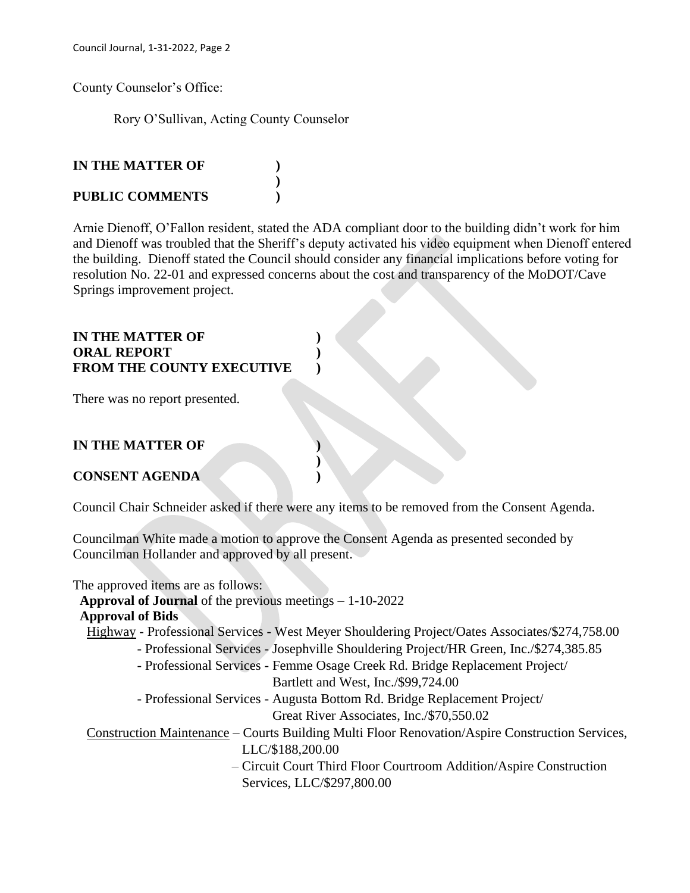County Counselor's Office:

Rory O'Sullivan, Acting County Counselor

**)**

# **IN THE MATTER OF )**

## **PUBLIC COMMENTS )**

Arnie Dienoff, O'Fallon resident, stated the ADA compliant door to the building didn't work for him and Dienoff was troubled that the Sheriff's deputy activated his video equipment when Dienoff entered the building. Dienoff stated the Council should consider any financial implications before voting for resolution No. 22-01 and expressed concerns about the cost and transparency of the MoDOT/Cave Springs improvement project.

## **IN THE MATTER OF ) ORAL REPORT ) FROM THE COUNTY EXECUTIVE )**

There was no report presented.

# **IN THE MATTER OF )**

## **CONSENT AGENDA )**

Council Chair Schneider asked if there were any items to be removed from the Consent Agenda.

Councilman White made a motion to approve the Consent Agenda as presented seconded by Councilman Hollander and approved by all present.

**)**

The approved items are as follows:

**Approval of Journal** of the previous meetings – 1-10-2022

## **Approval of Bids**

Highway - Professional Services - West Meyer Shouldering Project/Oates Associates/\$274,758.00

- Professional Services Josephville Shouldering Project/HR Green, Inc./\$274,385.85
- Professional Services Femme Osage Creek Rd. Bridge Replacement Project/

Bartlett and West, Inc./\$99,724.00

 - Professional Services - Augusta Bottom Rd. Bridge Replacement Project/ Great River Associates, Inc./\$70,550.02

 Construction Maintenance – Courts Building Multi Floor Renovation/Aspire Construction Services, LLC/\$188,200.00

> – Circuit Court Third Floor Courtroom Addition/Aspire Construction Services, LLC/\$297,800.00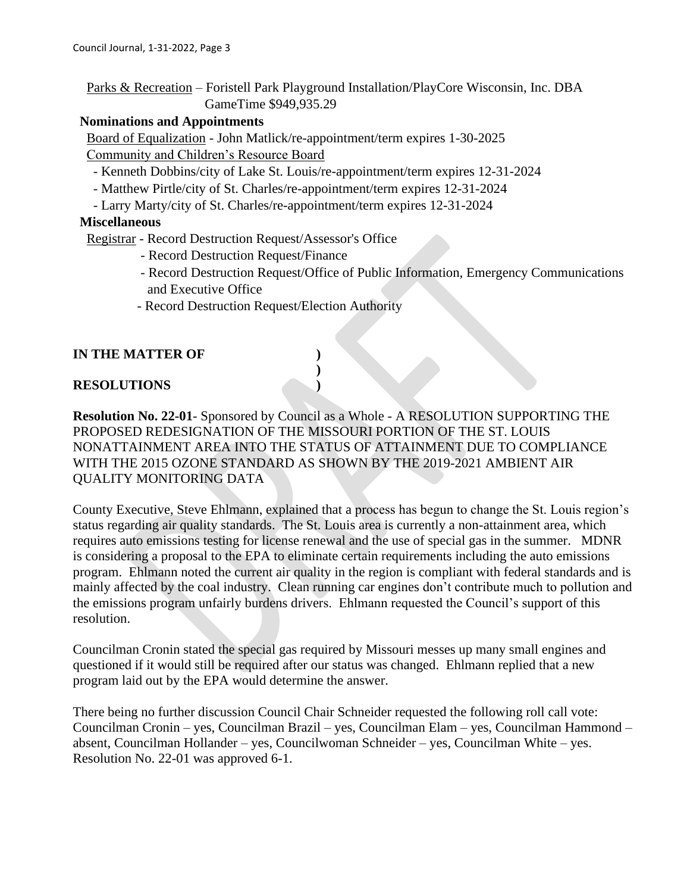Parks & Recreation – Foristell Park Playground Installation/PlayCore Wisconsin, Inc. DBA GameTime \$949,935.29

#### **Nominations and Appointments**

 Board of Equalization - John Matlick/re-appointment/term expires 1-30-2025 Community and Children's Resource Board

- Kenneth Dobbins/city of Lake St. Louis/re-appointment/term expires 12-31-2024
- Matthew Pirtle/city of St. Charles/re-appointment/term expires 12-31-2024
- Larry Marty/city of St. Charles/re-appointment/term expires 12-31-2024

#### **Miscellaneous**

Registrar - Record Destruction Request/Assessor's Office

- Record Destruction Request/Finance
- Record Destruction Request/Office of Public Information, Emergency Communications and Executive Office
- Record Destruction Request/Election Authority

## **IN THE MATTER OF )**

## **RESOLUTIONS )**

**Resolution No. 22-01**- Sponsored by Council as a Whole - A RESOLUTION SUPPORTING THE PROPOSED REDESIGNATION OF THE MISSOURI PORTION OF THE ST. LOUIS NONATTAINMENT AREA INTO THE STATUS OF ATTAINMENT DUE TO COMPLIANCE WITH THE 2015 OZONE STANDARD AS SHOWN BY THE 2019-2021 AMBIENT AIR QUALITY MONITORING DATA

**)**

County Executive, Steve Ehlmann, explained that a process has begun to change the St. Louis region's status regarding air quality standards. The St. Louis area is currently a non-attainment area, which requires auto emissions testing for license renewal and the use of special gas in the summer. MDNR is considering a proposal to the EPA to eliminate certain requirements including the auto emissions program. Ehlmann noted the current air quality in the region is compliant with federal standards and is mainly affected by the coal industry. Clean running car engines don't contribute much to pollution and the emissions program unfairly burdens drivers. Ehlmann requested the Council's support of this resolution.

Councilman Cronin stated the special gas required by Missouri messes up many small engines and questioned if it would still be required after our status was changed. Ehlmann replied that a new program laid out by the EPA would determine the answer.

There being no further discussion Council Chair Schneider requested the following roll call vote: Councilman Cronin – yes, Councilman Brazil – yes, Councilman Elam – yes, Councilman Hammond – absent, Councilman Hollander – yes, Councilwoman Schneider – yes, Councilman White – yes. Resolution No. 22-01 was approved 6-1.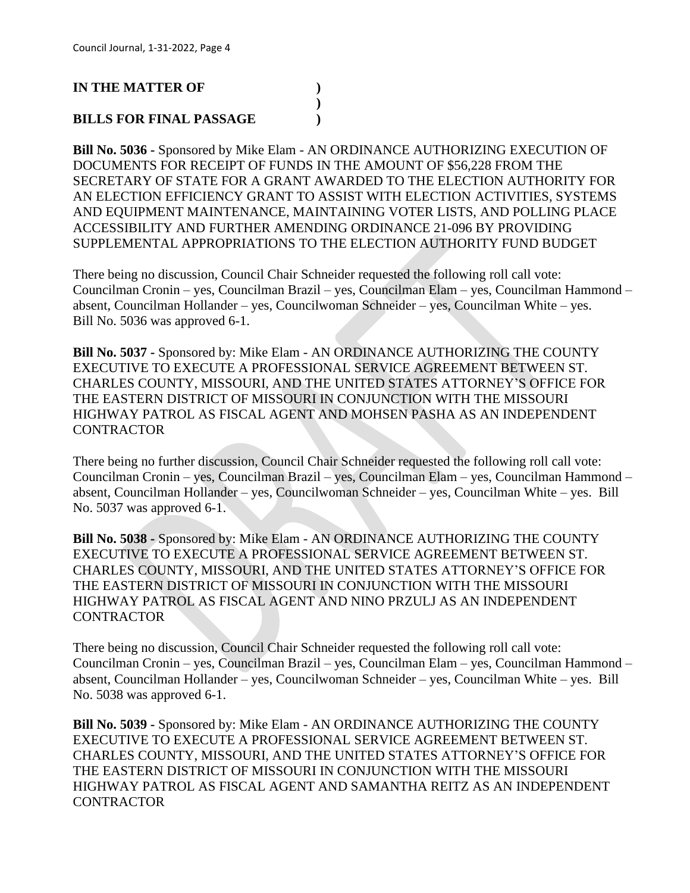### **IN THE MATTER OF )**

# **BILLS FOR FINAL PASSAGE )**

**Bill No. 5036 -** Sponsored by Mike Elam - AN ORDINANCE AUTHORIZING EXECUTION OF DOCUMENTS FOR RECEIPT OF FUNDS IN THE AMOUNT OF \$56,228 FROM THE SECRETARY OF STATE FOR A GRANT AWARDED TO THE ELECTION AUTHORITY FOR AN ELECTION EFFICIENCY GRANT TO ASSIST WITH ELECTION ACTIVITIES, SYSTEMS AND EQUIPMENT MAINTENANCE, MAINTAINING VOTER LISTS, AND POLLING PLACE ACCESSIBILITY AND FURTHER AMENDING ORDINANCE 21-096 BY PROVIDING SUPPLEMENTAL APPROPRIATIONS TO THE ELECTION AUTHORITY FUND BUDGET

**)**

There being no discussion, Council Chair Schneider requested the following roll call vote: Councilman Cronin – yes, Councilman Brazil – yes, Councilman Elam – yes, Councilman Hammond – absent, Councilman Hollander – yes, Councilwoman Schneider – yes, Councilman White – yes. Bill No. 5036 was approved 6-1.

**Bill No. 5037 -** Sponsored by: Mike Elam - AN ORDINANCE AUTHORIZING THE COUNTY EXECUTIVE TO EXECUTE A PROFESSIONAL SERVICE AGREEMENT BETWEEN ST. CHARLES COUNTY, MISSOURI, AND THE UNITED STATES ATTORNEY'S OFFICE FOR THE EASTERN DISTRICT OF MISSOURI IN CONJUNCTION WITH THE MISSOURI HIGHWAY PATROL AS FISCAL AGENT AND MOHSEN PASHA AS AN INDEPENDENT **CONTRACTOR** 

There being no further discussion, Council Chair Schneider requested the following roll call vote: Councilman Cronin – yes, Councilman Brazil – yes, Councilman Elam – yes, Councilman Hammond – absent, Councilman Hollander – yes, Councilwoman Schneider – yes, Councilman White – yes. Bill No. 5037 was approved 6-1.

**Bill No. 5038 -** Sponsored by: Mike Elam - AN ORDINANCE AUTHORIZING THE COUNTY EXECUTIVE TO EXECUTE A PROFESSIONAL SERVICE AGREEMENT BETWEEN ST. CHARLES COUNTY, MISSOURI, AND THE UNITED STATES ATTORNEY'S OFFICE FOR THE EASTERN DISTRICT OF MISSOURI IN CONJUNCTION WITH THE MISSOURI HIGHWAY PATROL AS FISCAL AGENT AND NINO PRZULJ AS AN INDEPENDENT **CONTRACTOR** 

There being no discussion, Council Chair Schneider requested the following roll call vote: Councilman Cronin – yes, Councilman Brazil – yes, Councilman Elam – yes, Councilman Hammond – absent, Councilman Hollander – yes, Councilwoman Schneider – yes, Councilman White – yes. Bill No. 5038 was approved 6-1.

**Bill No. 5039 -** Sponsored by: Mike Elam - AN ORDINANCE AUTHORIZING THE COUNTY EXECUTIVE TO EXECUTE A PROFESSIONAL SERVICE AGREEMENT BETWEEN ST. CHARLES COUNTY, MISSOURI, AND THE UNITED STATES ATTORNEY'S OFFICE FOR THE EASTERN DISTRICT OF MISSOURI IN CONJUNCTION WITH THE MISSOURI HIGHWAY PATROL AS FISCAL AGENT AND SAMANTHA REITZ AS AN INDEPENDENT **CONTRACTOR**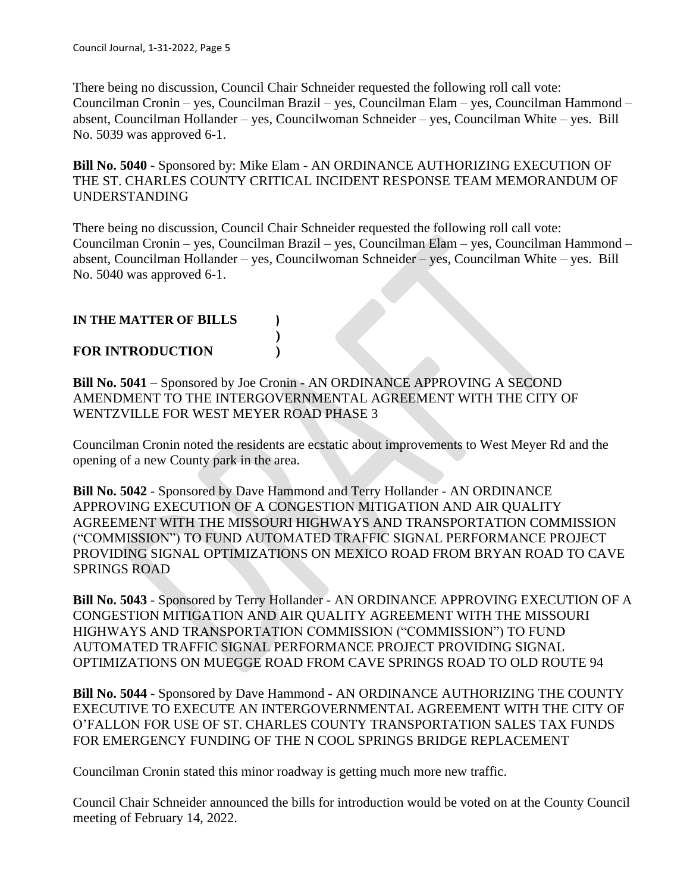There being no discussion, Council Chair Schneider requested the following roll call vote: Councilman Cronin – yes, Councilman Brazil – yes, Councilman Elam – yes, Councilman Hammond – absent, Councilman Hollander – yes, Councilwoman Schneider – yes, Councilman White – yes. Bill No. 5039 was approved 6-1.

**Bill No. 5040 -** Sponsored by: Mike Elam - AN ORDINANCE AUTHORIZING EXECUTION OF THE ST. CHARLES COUNTY CRITICAL INCIDENT RESPONSE TEAM MEMORANDUM OF UNDERSTANDING

There being no discussion, Council Chair Schneider requested the following roll call vote: Councilman Cronin – yes, Councilman Brazil – yes, Councilman Elam – yes, Councilman Hammond – absent, Councilman Hollander – yes, Councilwoman Schneider – yes, Councilman White – yes. Bill No. 5040 was approved 6-1.

## **IN THE MATTER OF BILLS )**

## **FOR INTRODUCTION )**

**Bill No. 5041** – Sponsored by Joe Cronin - AN ORDINANCE APPROVING A SECOND AMENDMENT TO THE INTERGOVERNMENTAL AGREEMENT WITH THE CITY OF WENTZVILLE FOR WEST MEYER ROAD PHASE 3

**)**

Councilman Cronin noted the residents are ecstatic about improvements to West Meyer Rd and the opening of a new County park in the area.

**Bill No. 5042** - Sponsored by Dave Hammond and Terry Hollander - AN ORDINANCE APPROVING EXECUTION OF A CONGESTION MITIGATION AND AIR QUALITY AGREEMENT WITH THE MISSOURI HIGHWAYS AND TRANSPORTATION COMMISSION ("COMMISSION") TO FUND AUTOMATED TRAFFIC SIGNAL PERFORMANCE PROJECT PROVIDING SIGNAL OPTIMIZATIONS ON MEXICO ROAD FROM BRYAN ROAD TO CAVE SPRINGS ROAD

**Bill No. 5043** - Sponsored by Terry Hollander - AN ORDINANCE APPROVING EXECUTION OF A CONGESTION MITIGATION AND AIR QUALITY AGREEMENT WITH THE MISSOURI HIGHWAYS AND TRANSPORTATION COMMISSION ("COMMISSION") TO FUND AUTOMATED TRAFFIC SIGNAL PERFORMANCE PROJECT PROVIDING SIGNAL OPTIMIZATIONS ON MUEGGE ROAD FROM CAVE SPRINGS ROAD TO OLD ROUTE 94

**Bill No. 5044** - Sponsored by Dave Hammond - AN ORDINANCE AUTHORIZING THE COUNTY EXECUTIVE TO EXECUTE AN INTERGOVERNMENTAL AGREEMENT WITH THE CITY OF O'FALLON FOR USE OF ST. CHARLES COUNTY TRANSPORTATION SALES TAX FUNDS FOR EMERGENCY FUNDING OF THE N COOL SPRINGS BRIDGE REPLACEMENT

Councilman Cronin stated this minor roadway is getting much more new traffic.

Council Chair Schneider announced the bills for introduction would be voted on at the County Council meeting of February 14, 2022.